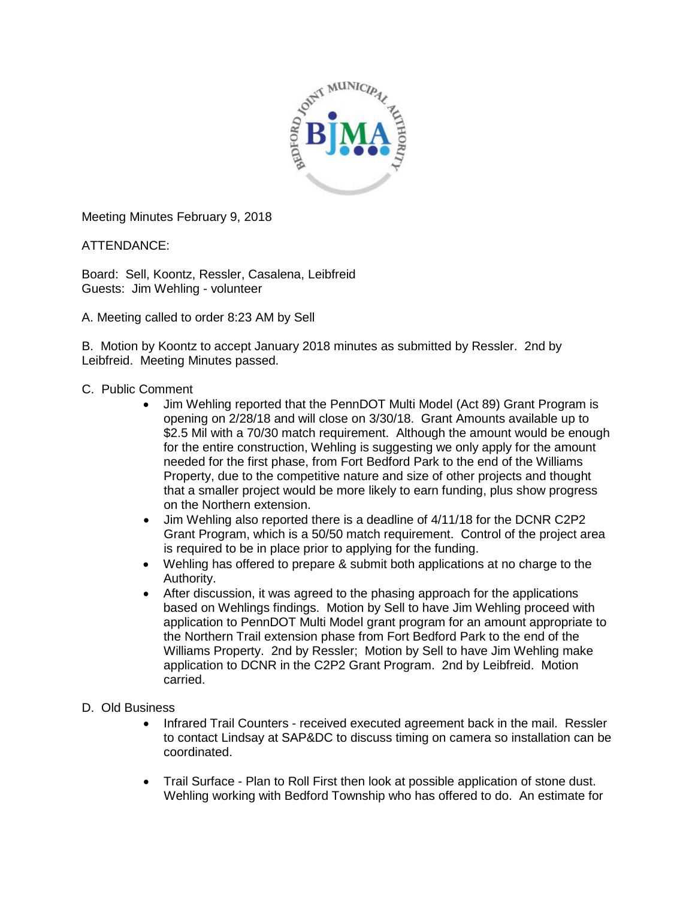

Meeting Minutes February 9, 2018

ATTENDANCE:

Board: Sell, Koontz, Ressler, Casalena, Leibfreid Guests: Jim Wehling - volunteer

A. Meeting called to order 8:23 AM by Sell

B. Motion by Koontz to accept January 2018 minutes as submitted by Ressler. 2nd by Leibfreid. Meeting Minutes passed.

- C. Public Comment
	- Jim Wehling reported that the PennDOT Multi Model (Act 89) Grant Program is opening on 2/28/18 and will close on 3/30/18. Grant Amounts available up to \$2.5 Mil with a 70/30 match requirement. Although the amount would be enough for the entire construction, Wehling is suggesting we only apply for the amount needed for the first phase, from Fort Bedford Park to the end of the Williams Property, due to the competitive nature and size of other projects and thought that a smaller project would be more likely to earn funding, plus show progress on the Northern extension.
	- Jim Wehling also reported there is a deadline of 4/11/18 for the DCNR C2P2 Grant Program, which is a 50/50 match requirement. Control of the project area is required to be in place prior to applying for the funding.
	- Wehling has offered to prepare & submit both applications at no charge to the Authority.
	- After discussion, it was agreed to the phasing approach for the applications based on Wehlings findings. Motion by Sell to have Jim Wehling proceed with application to PennDOT Multi Model grant program for an amount appropriate to the Northern Trail extension phase from Fort Bedford Park to the end of the Williams Property. 2nd by Ressler; Motion by Sell to have Jim Wehling make application to DCNR in the C2P2 Grant Program. 2nd by Leibfreid. Motion carried.
- D. Old Business
	- Infrared Trail Counters received executed agreement back in the mail. Ressler to contact Lindsay at SAP&DC to discuss timing on camera so installation can be coordinated.
	- Trail Surface Plan to Roll First then look at possible application of stone dust. Wehling working with Bedford Township who has offered to do. An estimate for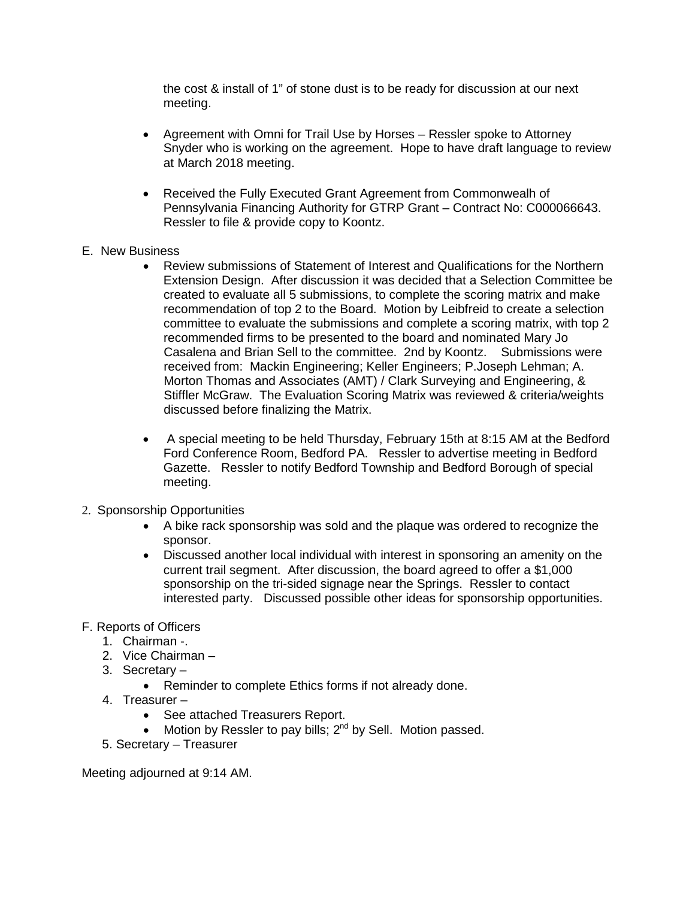the cost & install of 1" of stone dust is to be ready for discussion at our next meeting.

- Agreement with Omni for Trail Use by Horses Ressler spoke to Attorney Snyder who is working on the agreement. Hope to have draft language to review at March 2018 meeting.
- Received the Fully Executed Grant Agreement from Commonwealh of Pennsylvania Financing Authority for GTRP Grant – Contract No: C000066643. Ressler to file & provide copy to Koontz.
- E. New Business
	- Review submissions of Statement of Interest and Qualifications for the Northern Extension Design. After discussion it was decided that a Selection Committee be created to evaluate all 5 submissions, to complete the scoring matrix and make recommendation of top 2 to the Board. Motion by Leibfreid to create a selection committee to evaluate the submissions and complete a scoring matrix, with top 2 recommended firms to be presented to the board and nominated Mary Jo Casalena and Brian Sell to the committee. 2nd by Koontz. Submissions were received from: Mackin Engineering; Keller Engineers; P.Joseph Lehman; A. Morton Thomas and Associates (AMT) / Clark Surveying and Engineering, & Stiffler McGraw. The Evaluation Scoring Matrix was reviewed & criteria/weights discussed before finalizing the Matrix.
	- A special meeting to be held Thursday, February 15th at 8:15 AM at the Bedford Ford Conference Room, Bedford PA. Ressler to advertise meeting in Bedford Gazette. Ressler to notify Bedford Township and Bedford Borough of special meeting.
- 2. Sponsorship Opportunities
	- A bike rack sponsorship was sold and the plaque was ordered to recognize the sponsor.
	- Discussed another local individual with interest in sponsoring an amenity on the current trail segment. After discussion, the board agreed to offer a \$1,000 sponsorship on the tri-sided signage near the Springs. Ressler to contact interested party. Discussed possible other ideas for sponsorship opportunities.
- F. Reports of Officers
	- 1. Chairman -.
	- 2. Vice Chairman –
	- 3. Secretary
		- Reminder to complete Ethics forms if not already done.
	- 4. Treasurer
		- See attached Treasurers Report.
		- Motion by Ressler to pay bills;  $2^{nd}$  by Sell. Motion passed.
	- 5. Secretary Treasurer

Meeting adjourned at 9:14 AM.